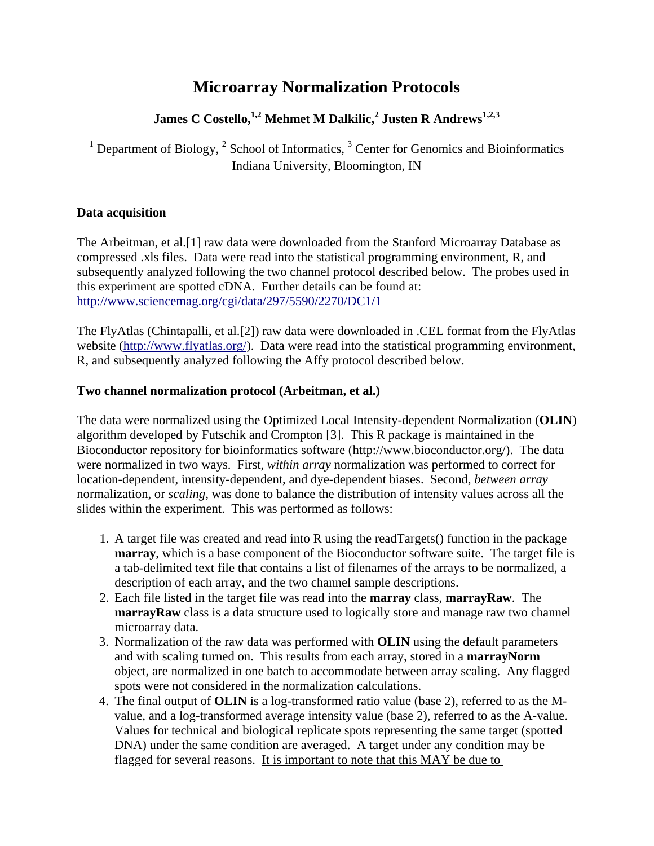# **Microarray Normalization Protocols**

## **James C Costello,1,2 Mehmet M Dalkilic,<sup>2</sup> Justen R Andrews1,2,3**

<sup>1</sup> Department of Biology,  $2$  School of Informatics,  $3$  Center for Genomics and Bioinformatics Indiana University, Bloomington, IN

## **Data acquisition**

The Arbeitman, et al.[1] raw data were downloaded from the Stanford Microarray Database as compressed .xls files. Data were read into the statistical programming environment, R, and subsequently analyzed following the two channel protocol described below. The probes used in this experiment are spotted cDNA. Further details can be found at: http://www.sciencemag.org/cgi/data/297/5590/2270/DC1/1

The FlyAtlas (Chintapalli, et al.[2]) raw data were downloaded in .CEL format from the FlyAtlas website (http://www.flyatlas.org/). Data were read into the statistical programming environment, R, and subsequently analyzed following the Affy protocol described below.

## **Two channel normalization protocol (Arbeitman, et al.)**

The data were normalized using the Optimized Local Intensity-dependent Normalization (**OLIN**) algorithm developed by Futschik and Crompton [3]. This R package is maintained in the Bioconductor repository for bioinformatics software (http://www.bioconductor.org/). The data were normalized in two ways. First, *within array* normalization was performed to correct for location-dependent, intensity-dependent, and dye-dependent biases. Second, *between array*  normalization, or *scaling,* was done to balance the distribution of intensity values across all the slides within the experiment. This was performed as follows:

- 1. A target file was created and read into R using the readTargets() function in the package **marray**, which is a base component of the Bioconductor software suite. The target file is a tab-delimited text file that contains a list of filenames of the arrays to be normalized, a description of each array, and the two channel sample descriptions.
- 2. Each file listed in the target file was read into the **marray** class, **marrayRaw**. The **marrayRaw** class is a data structure used to logically store and manage raw two channel microarray data.
- 3. Normalization of the raw data was performed with **OLIN** using the default parameters and with scaling turned on. This results from each array, stored in a **marrayNorm** object, are normalized in one batch to accommodate between array scaling. Any flagged spots were not considered in the normalization calculations.
- 4. The final output of **OLIN** is a log-transformed ratio value (base 2), referred to as the Mvalue, and a log-transformed average intensity value (base 2), referred to as the A-value. Values for technical and biological replicate spots representing the same target (spotted DNA) under the same condition are averaged. A target under any condition may be flagged for several reasons. It is important to note that this MAY be due to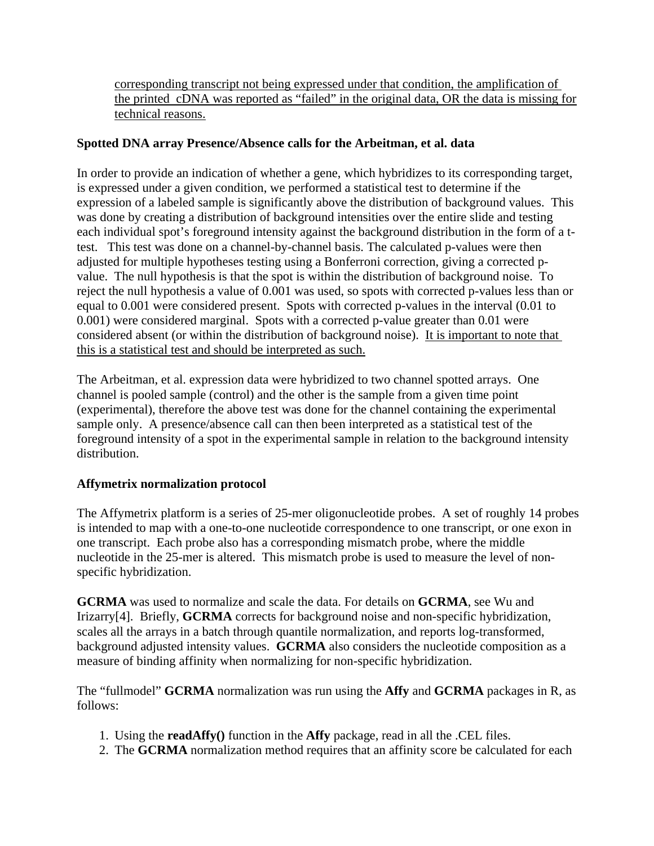corresponding transcript not being expressed under that condition, the amplification of the printed cDNA was reported as "failed" in the original data, OR the data is missing for technical reasons.

## **Spotted DNA array Presence/Absence calls for the Arbeitman, et al. data**

In order to provide an indication of whether a gene, which hybridizes to its corresponding target, is expressed under a given condition, we performed a statistical test to determine if the expression of a labeled sample is significantly above the distribution of background values. This was done by creating a distribution of background intensities over the entire slide and testing each individual spot's foreground intensity against the background distribution in the form of a ttest. This test was done on a channel-by-channel basis. The calculated p-values were then adjusted for multiple hypotheses testing using a Bonferroni correction, giving a corrected pvalue. The null hypothesis is that the spot is within the distribution of background noise. To reject the null hypothesis a value of 0.001 was used, so spots with corrected p-values less than or equal to 0.001 were considered present. Spots with corrected p-values in the interval (0.01 to 0.001) were considered marginal. Spots with a corrected p-value greater than 0.01 were considered absent (or within the distribution of background noise). It is important to note that this is a statistical test and should be interpreted as such.

The Arbeitman, et al. expression data were hybridized to two channel spotted arrays. One channel is pooled sample (control) and the other is the sample from a given time point (experimental), therefore the above test was done for the channel containing the experimental sample only. A presence/absence call can then been interpreted as a statistical test of the foreground intensity of a spot in the experimental sample in relation to the background intensity distribution.

#### **Affymetrix normalization protocol**

The Affymetrix platform is a series of 25-mer oligonucleotide probes. A set of roughly 14 probes is intended to map with a one-to-one nucleotide correspondence to one transcript, or one exon in one transcript. Each probe also has a corresponding mismatch probe, where the middle nucleotide in the 25-mer is altered. This mismatch probe is used to measure the level of nonspecific hybridization.

**GCRMA** was used to normalize and scale the data. For details on **GCRMA**, see Wu and Irizarry[4]. Briefly, **GCRMA** corrects for background noise and non-specific hybridization, scales all the arrays in a batch through quantile normalization, and reports log-transformed, background adjusted intensity values. **GCRMA** also considers the nucleotide composition as a measure of binding affinity when normalizing for non-specific hybridization.

The "fullmodel" **GCRMA** normalization was run using the **Affy** and **GCRMA** packages in R, as follows:

- 1. Using the **readAffy()** function in the **Affy** package, read in all the .CEL files.
- 2. The **GCRMA** normalization method requires that an affinity score be calculated for each